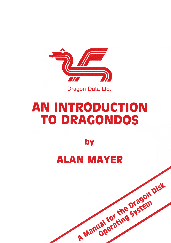

Dragon Data Ltd.

# **AN INTRODUCTION TO DRAGONDOS**

by

# **ALAN MAYER**

A Manual for the Dragon Disk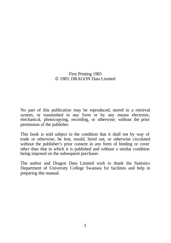#### First Printing 1983 © 1983. DRAGON Data Limited

No part of this publication may be reproduced, stored in a retrieval system, or transmitted in any form or by any means electronic, mechanical, photocopying, recording, or otherwise; without the prior permission of the publisher.

This book is sold subject to the condition that it shall not by way of trade or otherwise, be lent, resold, hired out, or otherwise circulated without the publisher's prior consent in any form of binding or cover other than that in which it is published and without a similar condition being imposed on the subsequent purchaser.

The author and Dragon Data Limited wish to thank the Statistics Department of University College Swansea for facilities and help in preparing this manual.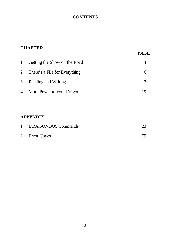# **CONTENTS**

| $\mathbf{1}$ | Getting the Show on the Road    |    |
|--------------|---------------------------------|----|
|              | 2 There's a File for Everything |    |
|              | 3 Reading and Writing           | 13 |
|              | 4 More Power to your Dragon     |    |

# **APPENDIX**

| DRAGONDOS Commands | 23 |
|--------------------|----|
| 2 Error Codes      | 59 |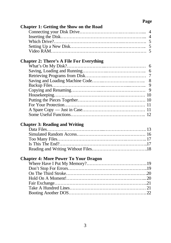# **Page**

| <b>Chapter 1: Getting the Show on the Road</b>  |                          |
|-------------------------------------------------|--------------------------|
|                                                 | $\overline{\mathcal{A}}$ |
|                                                 | $\overline{4}$           |
|                                                 | 5                        |
|                                                 | 5                        |
|                                                 |                          |
|                                                 |                          |
| <b>Chapter 2: There's A File For Everything</b> |                          |
|                                                 | 6                        |
|                                                 | 6                        |
|                                                 | 7                        |
|                                                 | 8                        |
|                                                 | 9                        |
|                                                 | 9                        |
|                                                 |                          |
|                                                 |                          |
|                                                 | 11                       |
|                                                 |                          |
|                                                 |                          |
|                                                 |                          |
| <b>Chapter 3: Reading and Writing</b>           |                          |
|                                                 |                          |
|                                                 |                          |
|                                                 |                          |
|                                                 |                          |
|                                                 |                          |
|                                                 |                          |
| <b>Chapter 4: More Power To Your Dragon</b>     |                          |
|                                                 |                          |
|                                                 |                          |
|                                                 |                          |
|                                                 |                          |
|                                                 |                          |
|                                                 |                          |
|                                                 |                          |
|                                                 |                          |
|                                                 |                          |
|                                                 |                          |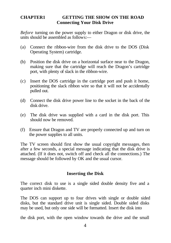#### **CHAPTER1 GETTING THE SHOW ON THE ROAD Connecting Your Disk Drive**

*Before* turning on the power supply to either Dragon or disk drive, the units should be assembled as follows:—

- (a) Connect the ribbon-wire from the disk drive to the DOS (Disk Operating System) cartridge.
- (b) Position the disk drive on a horizontal surface near to the Dragon, making sure that the cartridge will reach the Dragon's cartridge port, with plenty of slack in the ribbon-wire.
- (c) Insert the DOS cartridge in the cartridge port and push it home, positioning the slack ribbon wire so that it will not be accidentally pulled out.
- (d) Connect the disk drive power line to the socket in the back of the disk drive.
- (e) The disk drive was supplied with a card in the disk port. This should now be removed.
- (f) Ensure that Dragon and TV are properly connected up and turn on the power supplies to all units.

The TV screen should first show the usual copyright messages, then after a few seconds, a special message indicating that the disk drive is attached. (If it does not, switch off and check all the connections.) The message should be followed by OK and the usual cursor.

#### **Inserting the Disk**

The correct disk to use is a single sided double density five and a quarter inch mini diskette.

The DOS can support up to four drives with single or double sided disks, but the standard drive unit is single sided. Double sided disks may be used, but only one side will be formatted. Insert the disk into

the disk port, with the open window towards the drive and the small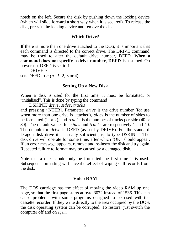notch on the left. Secure the disk by pushing down the locking device (which will slide forward a short way when it is secured). To release the disk, press in the locking device and remove the disk.

#### **Which Drive?**

**If** there is more than one drive attached to the DOS, it is important that each command is directed to the correct drive. The DRIVE command may be used to alter the default drive number, DEFD. When **a command does not specify a drive number, DEFD** is assumed. On power-up, DEFD is set to 1.

DRIVE *n*

sets DEFD to *n (n=1,* 2, 3 or 4).

#### **Setting Up a New Disk**

When a disk is used for the first time, it must be formatted, or "initialised". This is done by typing the command

DSKINIT *drive, sides, tracks*

and pressing ~NTER]. Parameter *drive* is the drive number (for use when more than one drive is attached), *sides* is the number of sides to be formatted (1 or 2), and *tracks* is the number of tracks per side (40 or 80). The default values for *sides* and *tracks* are respectively 1 and 40. The default for *drive* is DEFD (as set by DRIVE). For the standard Dragon disk drive it is usually sufficient just to type DSKINIT. The disk drive will operate for some time, after which "OK" should appear. If an error message appears, remove and re-insert the disk and try again. Repeated failure to format may be caused by a damaged disk.

Note that a disk should only be formatted the first time it is used. Subsequent formatting will have the .effect of wiping~ all records from the disk.

#### **Video RAM**

The DOS cartridge has the effect of moving the video RAM up one page, so that the first page starts at byte 3072 instead of 1536. This can cause problems with some programs designed to be used with the cassette recorder. If they write directly to the area occupied by the DOS, the disk operating system can be corrupted. To restore, just switch the computer off and on again.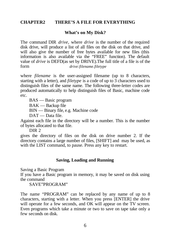#### **CHAPTER2 THERE'S A FILE FOR EVERYTHING**

#### **What's on My Disk?**

The command DIR *drive,* where *drive* is the number of the required disk drive, will produce a list of all files on the disk on that drive, and will also give the number of free bytes available for new files (this information is also available via the "FREE" function). The default value of *drive* is DEFD(as set by DRIVE).The full title of a file is of the form *drive:filename.filetype*

where *filename* is the user-assigned filename (up to 8 characters, starting with a letter), and *filetype* is a code of up to 3 characters used to distinguish files of the same name. The following three-letter codes are produced automatically to help distinguish files of Basic, machine code etc.

BAS — Basic program

BAK — Backup file

BIN — Binary file, e.g. Machine code

DAT — Data file.

Against each file in the directory will be a number. This is the number of bytes allocated to that file.

DIR 2

gives the directory of files on the disk on drive number 2. If the directory contains a large number of files, [SHIFT] and may be used, as with the LIST command, to pause. Press any key to restart.

#### **Saving, Loading and Running**

Saving a Basic Program

If you have a Basic program in memory, it may be saved on disk using the command

SAVE"PROGRAM"

The name "PROGRAM" can be replaced by any name of up to 8 characters, starting with a letter. When you press [ENTER] the drive will operate for a few seconds, and OK will appear on the TV screen. Even programs which take a minute or two to save on tape take only a few seconds on disk.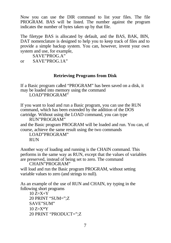Now you can use the DIR command to list your files. The file PROGRAM. BAS will be listed. The number against the program indicates the number of bytes taken up by that file.

The filetype BAS is allocated by default, and the BAS, BAK, BIN, DAT nomenclature is designed to help you to keep track of files and to provide a simple backup system. You can, however, invent your own system and use, for example,

SAVE"PROG.A" or SAVE"PROG.1A"

## **Retrieving Programs from Disk**

If a Basic program called "PROGRAM" has been saved on a disk, it may be loaded into memory using the command LOAD"PROGRAM"

If you want to load and run a Basic program, you can use the RUN command, which has been extended by the addition of the DOS cartridge. Without using the LOAD command, you can type

RUN"PROGRAM" and the Basic program PROGRAM will be loaded and run. You can, of course, achieve the same result using the two commands

LOAD"PROGRAM" **RUN** 

Another way of loading and running is the CHAIN command. This performs in the same way as RUN, except that the values of variables are preserved, instead of being set to zero. The command

CHAIN"PROGRAM"

will load and run the Basic program PROGRAM, without setting variable values to zero (and strings to null).

As an example of the use of RUN and CHAIN, try typing in the following short programs

 $10 \text{ Z} = X + Y$ 20 PRINT "SUM=";Z SAVE"SUM"  $10 \, Z = X^*Y$ 20 PRINT "PRODUCT=";Z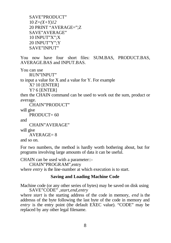SAVE"PRODUCT" 10 *Z=(X+Y)12* 20 PRINT "AVERAGE=";Z SAVE"AVERAGE" 10 INPUT"X";X 20 INPUT"Y";Y SAVE"INPUT"

You now have four short files: SUM.BAS, PRODUCT.BAS, AVERAGE.BAS and INPUT.BAS.

You can use

RUN"INPUT"

to input a value for X and a value for Y. For example

X? 10 [ENTER]

Y? 6 [ENTER]

then the CHAIN command can be used to work out the sum, product or average.

CHAIN"PRODUCT"

will give

```
PRODUCT = 60
```
and

```
CHAIN"AVERAGE"
```
will give

 $AYERAGE= 8$ 

and so on.

For two numbers, the method is hardly worth bothering about, but for programs involving large amounts of data it can be useful.

CHAIN can be used with a parameter::-

CHAIN"PROGRAM",entry

where *entry* is the line-number at which execution is to start.

#### **Saving and Loading Machine Code**

Machine code (or any other series of bytes) may be saved on disk using SAVE"CODE" *,start,end,entry*

where *start* is the starting address of the code in memory, *end* is the addresss of the byte following the last byte of the code in memory and *entry* is the entry point (the default EXEC value). "CODE" may be replaced by any other legal filename.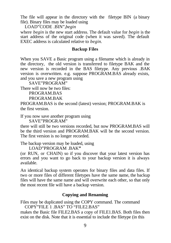The file will appear in the directory with the filetype BIN (a binary file). Binary files may be loaded using

LOAD"CODE .BIN",*begin*

where *begin* is the new start address. The default value for *begin* is the start address of the original code (when it was saved). The default EXEC address is calculated relative to *begin.*

#### **Backup Files**

When you SAVE a Basic program using a filename which is already in the directory, the old version is transferred to filetype BAK and the new version is recorded in the BAS filetype. Any previous .BAK version is overwritten. e.g. suppose PROGRAM.BAS already exists, and you save a new program using

```
SAVE"PROGRAM"
```
There will now be two files:

PROGRAM.BAS

PROGRAM BAK

PROGRAM.BAS is the second (latest) version; PROGRAM.BAK is the first version.

If you now save another program using

SAVE"PROGRAM"

there will still be two versions recorded, but now PROGRAM.BAS will be the third version and PROGRAM.BAK will be the second version. The first version is no longer recorded.

The backup version may be loaded, using

LOAD"PROGRAM .BAK**"**

(or RUN, or CHAIN) so if you discover that your latest version has errors and you want to go back to your backup version it is always available.

An identical backup system operates for binary files and data files. If two or more files of different filetypes have the same name, the backup files will have the same name and will overwrite each other, so that only the most recent file will have a backup version.

#### **Copying and Renaming**

Files may be duplicated using the COPY command. The command COPY"FILE 1 .BAS" TO "FILE2.BAS"

makes the Basic file FILE2.BAS a copy of FILE1.BAS. Both files then exist on the disk. Note that it is essential to include the filetype (in this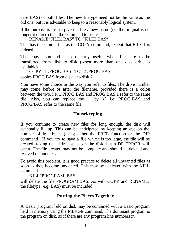case BAS) of both files. The new filetype need not be the same as the old one, but it is advisable to keep to a reasonably logical system.

If the purpose is just to give the file a new name (i.e. the original is no longer required) then the command to use is

RENAME"FILE1.BAS" TO "FILE2.BAS"

This has the same effect as the COPY command, except that FILE 1 is deleted.

The copy command is particularly useful when files are to be transferred from disk to disk (when more than one disk drive is available).

COPY "1 :PROG.BAS" TO "2 :PROG.BAS"

copies PROG.BAS from disk 1 to disk 2.

You have some choice in the way you refer to files. The drive number may come before or after the filename, provided there is a colon between the two. i.e. 1:PROG.BAS and PROG.BAS:1 refer to the same file. Also, you can replace the "." by *"I".* i.e. PROG.BAS and PROG/BAS refer to the same file.

# **Housekeeping**

If you continue to create new files for long enough, the disk will eventually fill up. This can be anticipated by keeping an eye on the number of free bytes (using either the FREE function or the DIR command). If you try to save a file which is too large, the file will be created, taking up all free space on the disk, but a DF ERROR will occur. The file created may not be complete and should be deleted and resaved on another disk.

To avoid this problem, it is good practice to delete all unwanted files as soon as they become unwanted. This may be achieved with the KILL command.

KILL"PROGRAM BAS"

will delete the file PROGRAM.BAS. As with COPY and RENAME, the filetype (e.g. BAS) must be included.

## **Putting the Pieces Together**

A Basic program held on disk may be combined with a Basic program held in memory using the MERGE command. The dominant program is the program on disk, so if there are any program line numbers in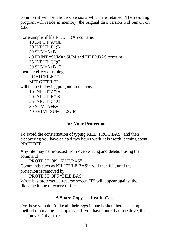common it will be the disk versions which are retained. The resulting program will reside in memory; the original disk version will remain on disk.

For example, if file FILE1 .BAS contains 10 INPUT"A";A 20 INPUT"B";B  $30$  SUM=A+B 40 PRINT "SUM=";SUM and FILE2.BAS contains 25 INPUT"C";C  $30$  SUM=A+B+C then the effect of typing LOAD"FILE 1" MERGE"FILE2" will be the following program in memory: 10 INPUT"A";A 20 INPUT"B";B 25 INPUT"C";C 30 SUM=A+B+C 40 PRINT"SUM= ";SUM

#### **For Your Protection**

To avoid the consternation of typing KILL"PROG.BAS" and then discovering you have deleted two hours work, it is worth learning about PROTECT.

Any file may be protected from over-writing and deletion using the command

PROTECT ON "FILE BAS"

Commands such as KILL"FILE.BAS'~ will then fail, until the protection is removed by

PROTECT OFF "FILE.BAS"

While it is protected, a reverse screen "P" will appear against the filename in the directory of files.

#### **A Spare Copy — Just in Case**

For those who don't like all their eggs in one basket, there is a simple method of creating backup disks. If you have more than one drive, this is achieved "at a stroke".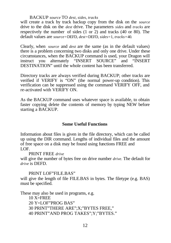#### BACKUP *source* TO *dest, sides, tracks*

will create a track by track backup copy from the disk on the *source*  drive to the disk on the *dest* drive. The parameters *sides* and *tracks* are respectively the number of sides (1 or 2) and tracks (40 or 80). The default values are *source=*DEFD*, dest=*DEFD*, sides=*1*, tracks=*40*.*

Clearly, when *source* and *dest* are the same (as in the default values) there is a problem concerning two disks and only one drive. Under these circumstances, when the BACKUP command is used, your Dragon will instruct you alternately "INSERT SOURCE" and "INSERT DESTINATION" until the whole content has been transferred.

Directory tracks are always verified during BACKUP; other tracks are verified if VERIFY is "ON" (the normal power-up condition). This verification can be suppressed using the command VERIFY OFF, and re-activated with VERIFY ON.

As the BACKUP command uses whatever space is available, to obtain faster copying delete the contents of memory by typing NEW before starting a BACKUP.

#### **Some Useful Functions**

Information about files is given in the file directory, which can be called up using the DIR command. Lengths of individual files and the amount of free space on a disk may be found using functions FREE and LOF.

PRINT FREE *drive*

will give the number of bytes free on drive number *drive.* The default for *drive* is DEFD.

#### PRINT LOF"FILE BAS"

will give the length of file FILE.BAS in bytes. The filetype (e.g. BAS) must be specified.

These may also be used in programs, e.g.

10 X=FREE

20 Y=LOF"PROG BAS"

30 PRINT"THERE ARE";X;"BYTES FREE,"

40 PRINT"AND PROG TAKES";Y;"BYTES."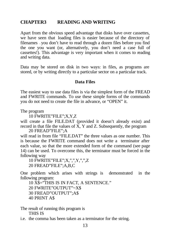# **CHAPTER3 READING AND WRITING**

Apart from the obvious speed advantage that disks have over cassettes, we have seen that loading files is easier because of the directory of filenames — you don't have to read through a dozen files before you find the one you want (or, alternatively, you don't need a case full of cassettes!). This advantage is very important when it comes to reading and writing data.

Data may be stored on disk in two ways: in files, as programs are stored, or by writing directly to a particular sector on a particular track.

#### **Data Files**

The easiest way to use data files is via the simplest form of the FREAD and FWRITE commands. To use these simple forms of the commands you do not need to create the file in advance, or "OPEN" it.

The program

10 FWRITE"FILE";X,Y,Z

will create a file FILE.DAT (provided it doesn't already exist) and record in that file the values of  $\overline{X}$ , Y and Z. Subsequently, the program 20 FREAD"FILE";A

will read in from file "FILE.DAT" the three values as one number. This is because the FWRITE command does not write a terminator after each value, so that the more extended form of the command (see page 14) can be used. To overcome this, the terminator must be forced in the following way

10 FWRITE"FILE";X,",",Y,",",Z

20 FREAD"FILE";A,B,C

One problem which arises with strings is demonstrated in the following program:

10 X\$="THIS IS IN FACT, A SENTENCE."

20 FWRITE"OUTPUT"~X\$

30 FREAD"OUTPUT";A\$

40 PRINT A\$

The result of running this program is THIS IS

i.e. the comma has been taken as a terminator for the string.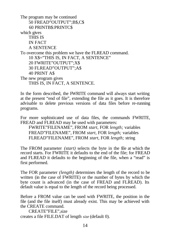The program may be continued 50 FREAD"OUTPUT";B\$,C\$ 60 PRINTB\$:PRINTC\$ which gives THIS IS IN FACT A SENTENCE To overcome this problem we have the FLREAD command. 10 X\$="THIS IS, IN FACT, A SENTENCE" 20 FWRITE"OUTPUT";X\$ 30 FLREAD"OUTPUT";A\$ 40 PRINT A\$ The new program gives THIS IS, IN FACT, A SENTENCE.

In the form described, the FWRITE command will always start writing at the present "end of file", extending the file as it goes. It is therefore advisable to delete previous versions of data files before re-running programs.

For more sophisticated use of data files, the commands FWRITE, FREAD and FLREAD may be used with parameters:

FWRITE"FILENAME", FROM *start,* FOR *length;* variables FREAD"FILENAME", FROM *start,* FOR *length;* variables FLREAD"FILENAME", FROM *start,* FOR *length;* string

The FROM parameter *(start)* selects the byte in the file at which the record starts. For FWRITE it defaults to the end of the file; for FREAD and FLREAD it defaults to the beginning of the file, when a "read" is first performed.

The FOR parameter *(length)* determines the length of the record to be written (in the case of FWRITE) or the number of bytes by which the byte count is advanced (in the case of FREAD and FLREAD). Its default value is equal to the length of the record being processed.

Before a FROM value can be used with FWRITE, the position in the file (and the file itself) must already exist. This may be achieved with the CREATE command.

CREATE"FILE",size creates a file FILE.DAT of length *size* (default 0).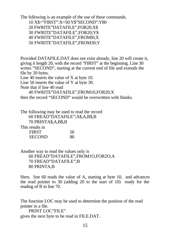The following is an example of the use of these commands.

10 X\$="FIRST":X=50:Y\$"SECOND":Y80

20 FWRITE"DATAFILE",FOR20;X\$

30 FWRITE"DATAFILE",FOR20;Y\$

40 FWRITE"DATAFILE",FROMl0;X

50 FWRITE"DATAFILE",FROM30;Y

Provided DATAFILE.DAT does not exist already, line 20 will create it, giving it length 20, with the record "FIRST" at the beginning. Line 30 writes "SECOND", starting at the current end of file and extends the file by 20 bytes.

Line 40 inserts the value of X at byte 10.

Line 50 inserts the value of Y at byte 30.

Note that if line 40 read

40 FWRITE"DATAFILE",FROM10,FOR20;X

then the record "SECOND" would be overwritten with blanks.

The following may be used to read the record 60 FREAD"DATAFILE";A\$,A,B\$,B 70 PRINTA\$,A,B\$,B This results in FIRST 50

SECOND 80

Another way to read the values only is 60 FREAD"DATAFILE",FROM1O,FOR2O;A 70 FREAD"DATAFILE";B 80 PRINTA,B

Here, line 60 reads the value of A, starting at byte 10, and advances the read pointer to 30 (adding 20 to the start of 10) ready for the reading of B in line 70.

The function LOC may be used to determine the position of the read pointer in a file.

PRINT LOC"FILE" gives the next byte to be read in FILE.DAT.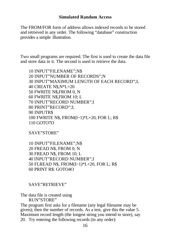#### **Simulated Random Access**

The FROM/FOR form of address allows indexed records to be stored and retrieved in any order. The following "database" construction provides a simple illustration.

Two small programs are required. The first is used to create the data file and store data in it. The second is used to retrieve the data.

10 INPUT"FILENAME";N\$ 20 INPUT"NUMBER OF RECORDS";N 30 INPUT"MAXIMUM LENGTH OF EACH RECORD";L 40 CREATE N\$,N\*L+20 50 FWRITE N\$,FROM 0, N 60 FWRITE N\$,FROM 10; L 70 INPUT"RECORD NUMBER";I 80 PRINT"RECORD";I; 90 INPUTR\$ 100 FWRITE N\$, FROM(I~1)\*L+20, FOR L; R\$ 110 GOTO7O

SAVE"STORE"

10 INPUT"FILENAME";N\$ 20 FREAD N\$, FROM 0; N 30 FREAD N\$, FROM 10; L 40 INPUT"RECORD NUMBER";I 50 FLREAD N\$, FROM(I~1)\*L+20, FOR L; R\$ 60 PRINT R\$: GOTO4O

#### SAVE"RETRIEVE"

The data file is created using RUN"STORE"

The program first asks for a filename (any legal filename may be given); then the number of records. As a test, give this the value 5. Maximum record length (the longest string you intend to store), say 20. Try entering the following records (in any order):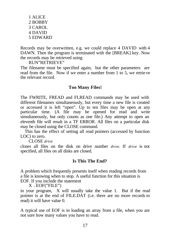1 ALICE 2 BOBBY 3 CAROL 4 DAVID 5 EDWARD

Records may be overwritten, e.g. we could replace 4 DAVID with 4 DAWN. Then the program is terminated with the [BREAK] key. Now the records may be retrieved using

RUN"RETRIEVE"

The filename must be specified again, but the other parameters are read from the file. Now if we enter a number from 1 to 5, we retrieve the relevant record.

#### **Too Many Files!**

The FWRITE, FREAD and FLREAD commands may be used with different filenames simultaneously, but every time a new file is created or accessed it is left "open". Up to ten files may be open at any particular time. (A file may be opened for read and write simultaneously, but only counts as one file.) Any attempt to open an eleventh file will result in a TF ERROR. All files on a particular disk may be closed using the CLOSE command.

This has the effect of setting all read pointers (accessed by function LOC) to zero.

CLOSE *drive*

closes all files on the disk on drive number *drive.* If *drive* is not specified, all files on all disks are closed.

#### **Is This The End?**

A problem which frequently presents itself when reading records from a file is knowing when to stop. A useful function for this situation is EOF. If you include the statement

X <sup>=</sup>EOF("FILE")

in your program, X will usually take the value 1. But if the read pointer is at the end of FILE.DAT (i.e. there are no more records to read) it will have value 0.

A typical use of EOF is in loading an array from a file, when you are not sure how many values you have to read.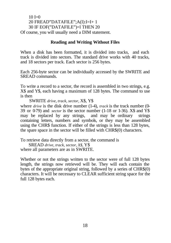#### $10 I=0$ 20 FREAD"DATAFILE";A(I):I=I+ 1 30 IF EOF("DATAFILE")=l THEN 20 Of course, you will usually need a DIM statement.

#### **Reading and Writing Without Files**

When a disk has been formatted, it is divided into tracks, and each track is divided into sectors. The standard drive works with 40 tracks, and 18 sectors per track. Each sector is 256 bytes.

Each 256-byte sector can be individually accessed by the SWRITE and SREAD commands.

To write a record to a sector, the record is assembled in two strings, e.g. X\$ and Y\$, each having a maximum of 128 bytes. The command to use is then

SWRITE *drive, track, sector,* X\$, Y\$ where *drive* is the disk drive number (1-4), *track* is the track number (0-39 or 0-79) and *sector* is the sector number (1-18 or 1-36). X\$ and Y\$ may be replaced by any strings, and may be ordinary strings containing letters, numbers and symbols, or they may be assembled using the CHR\$ function. If either of the strings is less than 128 bytes, the spare space in the sector will be filled with CHR\$(0) characters.

To retrieve data directly from a sector, the command is

SREAD *drive, track, sector, X\$,* Y\$ where all parameters are as in SWRITE.

Whether or not the strings written to the sector were of full 128 bytes length, the strings now retrieved will be. They will each contain the bytes of the appropriate original string, followed by a series of CHR\$(0) characters. It will be necessary to CLEAR sufficient string space for the full 128 bytes each.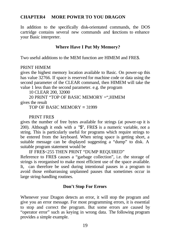## **CHAPTER4 MORE POWER TO YOU DRAGON**

In addition to the specifically disk-orientated commands, the DOS cartridge contains several new commands and functions to enhance your Basic interpreter.

## **Where Have I Put My Memory?**

Two useful additions to the MEM function are HIMEM and FRE\$.

#### PRINT HIMEM

gives the highest memory location available to Basic. On power-up this has value 32766. If space is reserved for machine code or data using the second parameter of the CLEAR command, then HIMEM will take the value 1 less than the second parameter. e.g. the program

10 CLEAR 200, 32000

20 PRINT "TOP OF BASIC MEMORY =",HIMEM gives the result

TOP OF BASIC MEMORY = 31999

#### PRINT FRE\$

gives the number of free bytes available for strings (at power-up it is 200). Although it ends with a "\$", FRE\$ is a numeric variable, not a string. This is particularly useful for programs which require strings to be entered from the keyboard. When string space is getting short, a suitable message can be displayed suggesting a "dump" to disk. A suitable program statement would be

IF FRE\$<255 THEN PRINT "DUMP REQUIRED"

Reference to FRE\$ causes a "garbage collection", i.e. the storage of strings is reorganised to make most efficient use of the space available. It, can therefore be used during intentional pauses in a program to avoid those embarrassing unplanned pauses that sometimes occur in large string-handling routines.

## **Don't Stop For Errors**

Whenever your Dragon detects an error, it will stop the program and give you an error message. For most programming errors, it is essential to stop and correct the program. But some errors are caused by "operator error" such as keying in wrong data. The following program provides a simple example.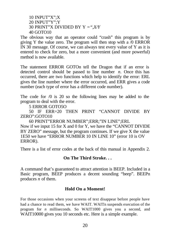10 INPUT"X";X 20 INPUT"Y";Y 30 PRINT"X DIVIDED BY Y *=",X/Y* 40 GOTO10

The obvious way that an operator could "crash" this program is by giving Y the value zero. The program will then stop with a /0 ERROR IN 30 message. Of course, we can always test every value of Y as it is entered to check for zero, but a more convenient (and more powerful) method is now available.

The statement ERROR GOTOn tell the Dragon that if an error is detected control should be passed to line number *n.* Once this has occurred, there are two functions which help to identify the error: ERL gives the line number where the error occurred, and ERR gives a code number (each type of error has a different code number).

The code for /0 is 20 so the following lines may be added to the program to deal with the error.

5 ERROR GOTO5O

50 IF ERR=20 THEN PRINT "CANNOT DIVIDE BY ZERO":GOTO10

60 PRINT"ERROR NUMBER";ERR;"IN LINE";ERL Now if we input 15 for X and 0 for Y, we have the "CANNOT DIVIDE BY ZERO" message, but the program continues. If we give X the value 1E50 we have "ERROR NUMBER 10 IN LINE 10" (error 10 is OV ERROR).

There is a list of error codes at the back of this manual in Appendix 2.

#### **On The Third Stroke. . .**

A command that's guaranteed to attract attention is BEEP. Included in a Basic program, BEEP produces a decent sounding "beep". BEEPn produces *n* of them.

## **Hold On a Moment!**

For those occasions when your screens of text disappear before people have had a chance to read them, we have WAIT. WAITn suspends execution of the program for *n* milliseconds. So WAIT1000 gives you a second, and WAIT10000 gives you 10 seconds etc. Here is a simple example.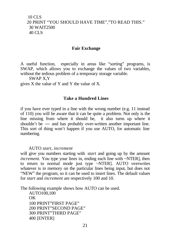## 10 CLS 20 PRINT "YOU SHOULD HAVE TIME","TO READ THIS." 30 WAIT2500 40 CLS

#### **Fair Exchange**

A useful function, especially in areas like "sorting" programs, is SWAP, which allows you to exchange the values of two variables, without the tedious problem of a temporary storage variable.

SWAP X,Y

gives X the value of Y and Y the value of X.

#### **Take a Hundred Lines**

if you have ever typed in a line with the wrong number (e.g. 11 instead of 110) you will be aware that it can be quite a problem. Not only is the line missing from where it should be, it also turns up where it shouldn't be  $\mathcal$  and has probably over-written another important line. This sort of thing won't happen if you use AUTO, for automatic line numbering.

#### AUTO *start, increment*

will give you numbers starting with *start* and going up by the amount *increment.* You type your lines in, ending each line with ~NTER], then to return to normal mode just type ~NTER]. AUTO overwrites whatever is in memory on the particular lines being input, but does not "NEW" the program, so it can be used to insert lines. The default values for *start* and *increment* are respectively 100 and 10.

The following example shows how AUTO can be used.

AUTO100,100 OK 100 PRINT"FIRST PAGE" 200 PRINT"SECOND PAGE" 300 PRINT"THIRD PAGE" 400 [ENTER]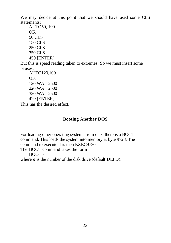We may decide at this point that we should have used some CLS statements:

AUTO50, 100 OK 50 CLS 150 CLS 250 CLS 350 CLS 450 [ENTER]

But this is speed reading taken to extremes! So we must insert some pauses:

```
AUTO120,100
OK
120 WAIT2500
220 WAIT2500
320 WAIT2500
420 [ENTER]
```
This has the desired effect.

# **Booting Another DOS**

For loading other operating systems from disk, there is a BOOT command. This loads the system into memory at byte 9728. The command to execute it is then EXEC9730.

The BOOT command takes the form

BOOT*n*

where  $n$  is the number of the disk drive (default DEFD).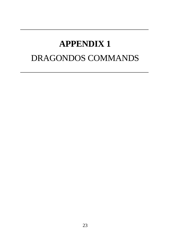# **APPENDIX 1** DRAGONDOS COMMANDS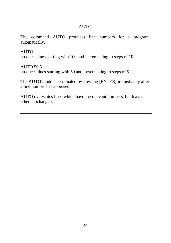## AUTO

The command AUTO produces line numbers for a program automatically.

AUTO produces lines starting with 100 and incrementing in steps of 10.

AUTO 50,5 produces lines starting with 50 and incrementing in steps of 5.

The AUTO mode is terminated by pressing [ENTER] immediately after a line number has appeared.

AUTO overwrites lines which have the relevant numbers, but leaves others unchanged.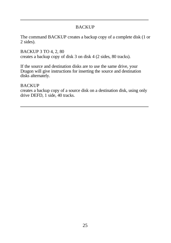# BACKUP

The command BACKUP creates a backup copy of a complete disk (1 or 2 sides).

BACKUP 3 TO 4, 2, 80 creates a backup copy of disk 3 on disk 4 (2 sides, 80 tracks).

If the source and destination disks are to use the same drive, your Dragon will give instructions for inserting the source and destination disks alternately.

#### **BACKUP**

creates a backup copy of a source disk on a destination disk, using only drive DEFD, 1 side, 40 tracks.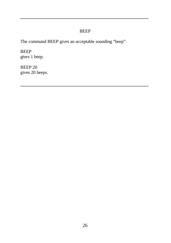## BEEP

The command BEEP gives an acceptable sounding "beep".

BEEP gives 1 beep.

BEEP 20 gives 20 beeps.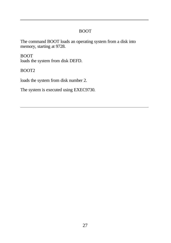# BOOT

The command BOOT loads an operating system from a disk into memory, starting at 9728.

BOOT loads the system from disk DEFD.

BOOT2

loads the system from disk number 2.

The system is executed using EXEC9730.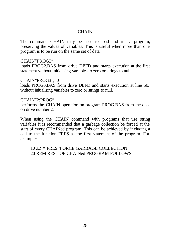# **CHAIN**

The command CHAIN may be used to load and run a program, preserving the values of variables. This is useful when more than one program is to be run on the same set of data.

#### CHAIN"PROG2"

loads PROG2.BAS from drive DEFD and starts execution at the first statement without initialising variables to zero or strings to null.

#### CHAIN"PROG3",50

loads PROG3.BAS from drive DEFD and starts execution at line 50, without initialising variables to zero or strings to null.

#### CHAIN"2:PROG"

performs the CHAIN operation on program PROG.BAS from the disk on drive number 2.

When using the CHAIN command with programs that use string variables it is recommended that a garbage collection be forced at the start of every CHAINed program. This can be achieved by including a call to the function FRE\$ as the first statement of the program. For example:

10 ZZ = FRE\$ 'FORCE GARBAGE COLLECTION 20 REM REST OF CHAINed PROGRAM FOLLOWS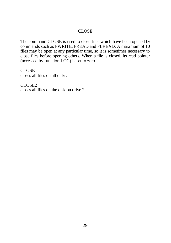#### CLOSE

The command CLOSE is used to close files which have been opened by commands such as FWRITE, FREAD and FLREAD. A maximum of 10 files may be open at any particular time, so it is sometimes necessary to close files before opening others. When a file is closed, its read pointer (accessed by function LOC) is set to zero.

#### **CLOSE**

closes all files on all disks.

#### CLOSE2

closes all files on the disk on drive 2.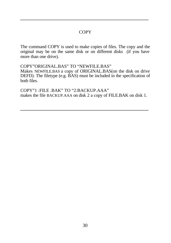## **COPY**

The command COPY is used to make copies of files. The copy and the original may be on the same disk or on different disks (if you have more than one drive).

COPY"ORIGINAL.BAS" TO "NEWFILE.BAS" Makes NEWFILE.BAS a copy of ORIGINAL.BAS(on the disk on drive DEFD). The filetype (e.g. BAS) must be included in the specification of both files.

COPY"1 :FILE .BAK" TO "2:BACKUP.AAA" makes the file BACKUP.AAA on disk 2 a copy of FILE.BAK on disk 1.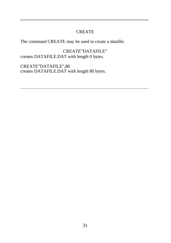## CREATE

The command CREATE may be used to create a datafile.

CREATE"DATAFILE" creates DATAFILE.DAT with length 0 bytes.

CREATE"DATAFILE",80 creates DATAFILE.DAT with length 80 bytes.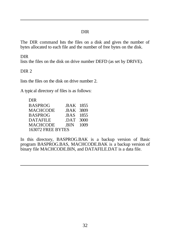# DIR

The DIR command lsts the files on a disk and gives the number of bytes allocated to each file and the number of free bytes on the disk.

#### DIR

lists the files on the disk on drive number DEFD (as set by DRIVE).

# DIR<sub>2</sub>

lists the files on the disk on drive number 2.

A typical directory of files is as follows:

| DIR               |           |      |
|-------------------|-----------|------|
| BASPROG           | BAK 1855. |      |
| MACHCODE          | BAK 3809  |      |
| BASPROG           | BAS 1855  |      |
| DATAFILE          | .DAT      | 3000 |
| MACHCODE          | .BIN      | 1009 |
| 163072 FREE BYTES |           |      |

In this directory, BASPROG.BAK is a backup version of Basic program BASPROG.BAS, MACHCODE.BAK is a backup version of binary file MACHCODE.BIN, and DATAFILE.DAT is a data file.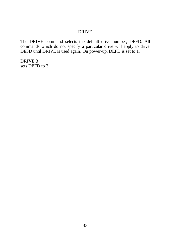#### DRIVE

The DRIVE command selects the default drive number, DEFD. All commands which do not specify a particular drive will apply to drive DEFD until DRIVE is used again. On power-up, DEFD is set to 1.

DRIVE 3 sets DEFD to 3.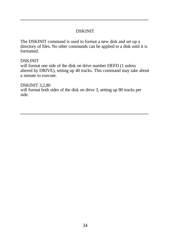# DSKINIT

The DSKINIT command is used to format a new disk and set up a directory of files. No other commands can be applied to a disk until it is formatted.

#### DSKINIT

will format one side of the disk on drive number DEFD (1 unless altered by DRIVE), setting up 40 tracks. This command may take about a minute to execute.

#### DSKINIT 3,2,80

will format both sides of the disk on drive 3, setting up 80 tracks per side.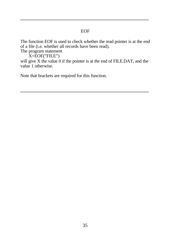#### EOF

The function EOF is used to check whether the read pointer is at the end of a file (i.e. whether all records have been read).

The program statement

X=EOF("FILE")

will give X the value 0 if the pointer is at the end of FILE.DAT, and the value 1 otherwise.

Note that brackets are required for this function.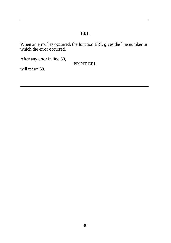# ERL

When an error has occurred, the function ERL gives the line number in which the error occurred.

After any error in line 50,

PRINT ERL

will return 50.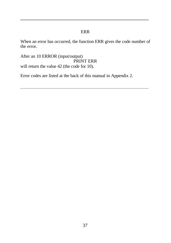# ERR

When an error has occurred, the function ERR gives the code number of the error.

After an 10 ERROR (input/output) PRINT ERR will return the value 42 (the code for 10).

Error codes are listed at the back of this manual in Appendix 2.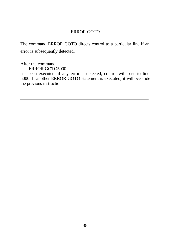## ERROR GOTO

The command ERROR GOTO directs control to a particular line if an error is subsequently detected.

After the command ERROR GOTO5000

has been executed, if any error is detected, control will pass to line 5000. If another ERROR GOTO statement is executed, it will over-ride the previous instruction.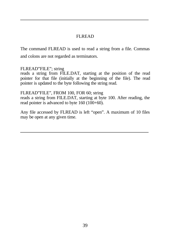## FLREAD

The command FLREAD is used to read a string from a file. Commas and colons are not regarded as terminators.

#### FLREAD"FILE"; string

reads a string from FILE.DAT, starting at the position of the read pointer for that file (initially at the beginning of the file). The read pointer is updated to the byte following the string read.

#### FLREAD"FILE", FROM 100, FOR 60; string

reads a string from FILE.DAT, starting at byte 100. After reading, the read pointer is advanced to byte 160 (100+60).

Any file accessed by FLREAD is left "open". A maximum of 10 files may be open at any given time.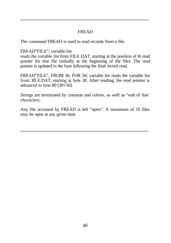## FREAD

The command FREAD is used to read records from a file.

FREAD"FILE"; variable list

reads the variable list from FILE.DAT, starting at the position of th read pointer for that file (initially at the beginning of the file). The read pointer is updated to the byte following the final record read.

FREAD"FILE", FROM 30, FOR 50; variable list reads the variable list from FILE.DAT, starting at byte 30. After reading, the read pointer is advanced to byte  $80$  (30+50).

Strings are terminated by commas and colons, as well as "end of line' characters.

Any file accessed by FREAD is left "open". A maximum of 10 files may be open at any given time.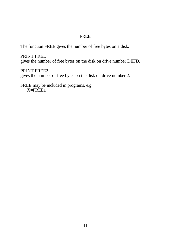## FREE

The function FREE gives the number of free bytes on a disk.

PRINT FREE gives the number of free bytes on the disk on drive number DEFD.

PRINT FREE2 gives the number of free bytes on the disk on drive number 2.

FREE may be included in programs, e.g.  $X = FREE1$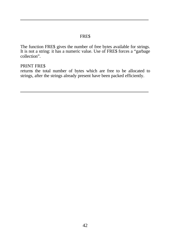## FRE\$

The function FRE\$ gives the number of free bytes available for strings. It is not a string: it has a numeric value. Use of FRE\$ forces a "garbage collection".

## PRINT FRE\$

returns the total number of bytes which are free to be allocated to strings, after the strings already present have been packed efficiently.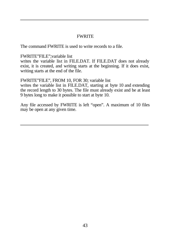## **FWRITE**

The command FWRITE is used to write records to a file.

FWRITE"FILE";variable list

writes the variable list in FILE.DAT. If FILE.DAT does not already exist, it is created, and writing starts at the beginning. If it does exist, writing starts at the end of the file.

FWRITE"FILE", FROM 10, FOR 30; variable list

writes the variable list in FILE.DAT, starting at byte 10 and extending the record length to 30 bytes. The file must already exist and be at least 9 bytes long to make it possible to start at byte 10.

Any file accessed by FWRITE is left "open". A maximum of 10 files may be open at any given time.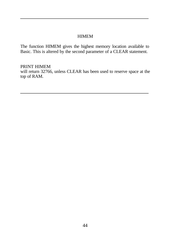## **HIMEM**

The function HIMEM gives the highest memory location available to Basic. This is altered by the second parameter of a CLEAR statement.

PRINT HIMEM will return 32766, unless CLEAR has been used to reserve space at the top of RAM.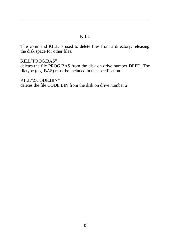#### KILL

The command KILL is used to delete files from a directory, releasing the disk space for other files.

KILL"PROG.BAS" deletes the file PROG.BAS from the disk on drive number DEFD. The filetype (e.g. BAS) must be included in the specification.

KILL"2:CODE.BIN" deletes the file CODE.BIN from the disk on drive number 2.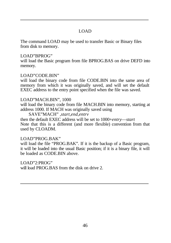## LOAD

The command LOAD may be used to transfer Basic or Binary files from disk to memory.

#### LOAD"BPROG"

will load the Basic program from file BPROG.BAS on drive DEFD into memory.

#### LOAD"CODE.BIN"

will load the binary code from file CODE.BIN into the same area of memory from which it was originally saved, and will set the default EXEC address to the entry point specified when the file was saved.

#### LOAD"MACH.BIN", 1000

will load the binary code from file MACH.BIN into memory, starting at address 1000. If MACH was originally saved using

SAVE"MACH" *,start,end,entrv* then the default EXEC address will be set to 1000+*entry*—*start* Note that this is a different (and more flexible) convention from that used by CLOADM.

#### LOAD"PROG.BAK"

will load the file "PROG.BAK". If it is the backup of a Basic program, it will be loaded into the usual Basic position; if it is a binary file, it will be loaded as CODE.BIN above.

LOAD"2:PROG" will load PROG.BAS from the disk on drive 2.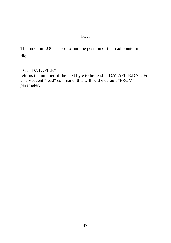# LOC

The function LOC is used to find the position of the read pointer in a file.

## LOC"DATAFILE"

returns the number of the next byte to be read in DATAFILE.DAT. For a subsequent "read" command, this will be the default "FROM" parameter.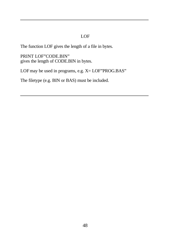# LOF

The function LOF gives the length of a file in bytes.

PRINT LOF"CODE.BIN" gives the length of CODE.BIN in bytes.

LOF may be used in programs, e.g.  $X = LOF'PROG.BAS'$ 

The filetype (e.g. BIN or BAS) must be included.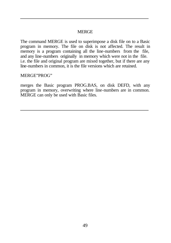## MERGE

The command MERGE is used to superimpose a disk file on to a Basic program in memory. The file on disk is not affected. The result in memory is a program containing all the line-numbers from the file, and any line-numbers originally in memory which were not in the file. i.e. the file and original program are mixed together, but if there are any line-numbers in common, it is the file versions which are retained.

#### MERGE"PROG"

merges the Basic program PROG.BAS, on disk DEFD, with any program in memory, overwriting where line-numbers are in common. MERGE can only be used with Basic files.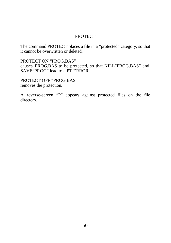#### **PROTECT**

The command PROTECT places a file in a "protected" category, so that it cannot be overwritten or deleted.

PROTECT ON "PROG.BAS" causes PROG.BAS to be protected, so that KILL"PROG.BAS" and SAVE"PROG" lead to a PT ERROR.

PROTECT OFF "PROG.BAS" removes the protection.

A reverse-screen "P" appears against protected files on the file directory.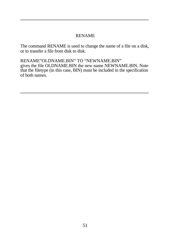## RENAME

The command RENAME is used to change the name of a file on a disk, or to transfer a file from disk to disk.

RENAME"OLDNAME.BIN" TO "NEWNAME.BIN" gives the file OLDNAME.BIN the new name NEWNAME.BIN. Note that the filetype (in this case, BIN) must be included in the specification of both names.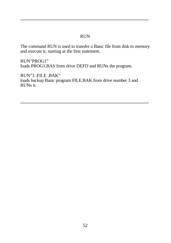## RUN

The command RUN is used to transfer a Basic file from disk to memory and execute it, starting at the first statement.

RUN"PROG1" loads PROG1.BAS from drive DEFD and RUNs the program.

RUN"3 :FILE .BAK" loads backup Basic program FILE.BAK from drive number 3 and RUNs it.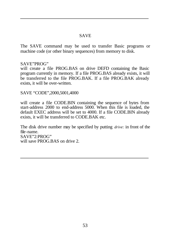## SAVE

The SAVE command may be used to transfer Basic programs or machine code (or other binary sequences) from memory to disk.

#### SAVE"PROG"

will create a file PROG.BAS on drive DEFD containing the Basic program currently in memory. If a file PROG.BAS already exists, it will be transferred to the file PROG.BAK. If a file PROG.BAK already exists, it will be over-written.

SAVE "CODE",2000,5001,4000

will create a file CODE.BIN containing the sequence of bytes from start-address 2000 to end-address 5000. When this file is loaded, the default EXEC address will be set to 4000. If a file CODE.BIN already exists, it will be transferred to CODE.BAK etc.

The disk drive number may be specified by putting *drive:* in front of the file-name. SAVE"2:PROG" will save PROG.BAS on drive 2.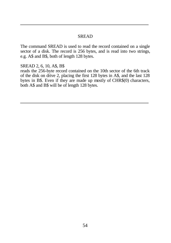#### SREAD

The command SREAD is used to read the record contained on a single sector of a disk. The record is 256 bytes, and is read into two strings, e.g. A\$ and B\$, both of length 128 bytes.

SREAD 2, 6, 10, A\$, B\$

reads the 256-byte record contained on the 10th sector of the 6th track of the disk on drive 2, placing the first 128 bytes in A\$, and the last 128 bytes in B\$. Even if they are made up mostly of CHR\$(0) characters, both A\$ and B\$ will be of length 128 bytes.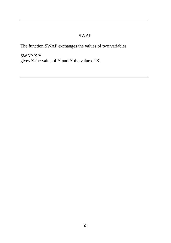# SWAP

The function SWAP exchanges the values of two variables.

SWAP X,Y gives X the value of Y and Y the value of X.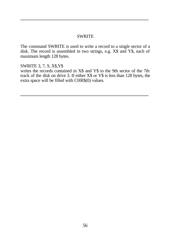#### **SWRITE**

The command SWRITE is used to write a record to a single sector of a disk. The record is assembled in two strings, e.g. X\$ and Y\$, each of maximum length 128 bytes.

SWRITE 3, 7, 9, X\$,Y\$

writes the records contained in X\$ and Y\$ to the 9th sector of the 7th track of the disk on drive 3. If either X\$ or Y\$ is less than 128 bytes, the extra space will be filled with CHR\$(0) values.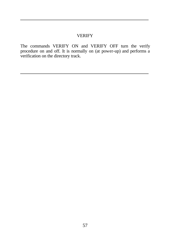#### VERIFY

The commands VERIFY ON and VERIFY OFF turn the verify procedure on and off. It is normally on (at power-up) and performs a verification on the directory track.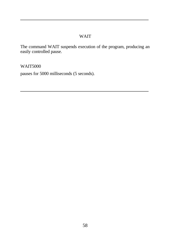## WAIT

The command WAIT suspends execution of the program, producing an easily controlled pause.

WAIT5000

pauses for 5000 milliseconds (5 seconds).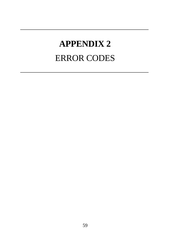# **APPENDIX 2** ERROR CODES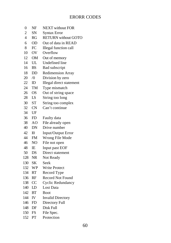# ERORR CODES

| 0              | NF             | <b>NEXT</b> without FOR    |
|----------------|----------------|----------------------------|
| $\overline{c}$ | SΝ             | <b>Syntax Error</b>        |
| $\overline{4}$ | RG             | <b>RETURN</b> without GOTO |
| 6              | <b>OD</b>      | Out of data in READ        |
| 8              | FC             | Illegal function call      |
| 10             | OV             | Overflow                   |
| 12             | OМ             | Out of memory              |
| 14             | UL             | Undefined line             |
| 16             | <b>BS</b>      | Bad subscript              |
| 18             | DD             | <b>Redimension Array</b>   |
| 20             | $\sqrt{0}$     | Division by zero           |
| 22             | ID             | Illegal direct statement   |
| 24             | TМ             | Type mismatch              |
| 26             | <b>OS</b>      | Out of string space        |
| 28             | LS             | String too long            |
| 30             | <b>ST</b>      | String too complex         |
| 32             | <b>CN</b>      | Can't continue             |
| 34             | UF             |                            |
| 36             | FD             | Faulty data                |
| 38             | AO             | File already open          |
| 40             | DN             | Drive number               |
| 42             | I <sub>0</sub> | Input/Output Error         |
| 44             | <b>FM</b>      | Wrong File Mode            |
| 46             | NO             | File not open              |
| 48             | IE             | Input past EOF             |
| 50             | DS             | Direct statement           |
| 128            | NR             | Not Ready                  |
| 130            | SΚ             | Seek                       |
| 132            | WP             | Write Protect              |
| 134            | RT             | Record Type                |
| 136            | RF             | Record Not Found           |
| 138            | CC             | <b>Cyclic Redundancy</b>   |
| 140            | LD             | Lost Data                  |
| 142            | <b>BT</b>      | Boot                       |
| 144            | IV             | <b>Invalid Directory</b>   |
| 146            | FD             | Directory Full             |
| 148            | DF             | Disk Full                  |
| 150            | FS             | File Spec.                 |
| 152            | PT             | Protection                 |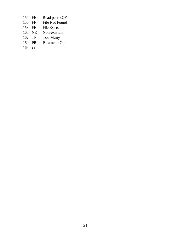- 154 FE Read past EOF<br>156 FF File Not Found
- File Not Found
- 158 FE File Exists<br>160 NE Non-existe
- 160 NE Non-existent<br>162 TF Too Many
- Too Many
- 164 PR Parameter Open
- 166 ??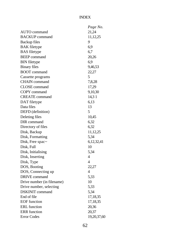#### INDEX

|                            | Page No.       |
|----------------------------|----------------|
| AUTO command               | 21,24          |
| <b>BACKUP</b> command      | 11,12,25       |
| <b>Backup</b> files        | 9              |
| <b>BAK</b> filetype        | 6,9            |
| <b>BAS</b> filetype        | 6,7            |
| <b>BEEP</b> command        | 20,26          |
| <b>BIN</b> filetype        | 6,9            |
| <b>Binary files</b>        | 9,46,53        |
| <b>BOOT</b> command        | 22,27          |
| Cassette programs          | 5              |
| <b>CHAIN</b> command       | 7,8,28         |
| <b>CLOSE</b> command       | 17,29          |
| COPY command               | 9,10,30        |
| <b>CREATE</b> command      | 14,31          |
| DAT filetype               | 6,13           |
| Data files                 | 13             |
| DEFD (definition)          | 5              |
| Deleting files             | 10,45          |
| DIR command                | 6,32           |
| Directory of files         | 6,32           |
| Disk, Backup               | 11,12,25       |
| Disk, Formatting           | 5,34           |
| Disk, Free spac~           | 6,12,32,41     |
| Disk, Full                 | 10             |
| Disk, Initialising         | 5,34           |
| Disk, Inserting            | 4              |
| Disk, Type                 | $\overline{4}$ |
| DOS, Booting               | 22,27          |
| DOS, Connecting up         | 4              |
| DRIVE command              | 5,33           |
| Drive number (in filename) | 10             |
| Drive number, selecting    | 5,33           |
| <b>DSKINIT</b> command     | 5,34           |
| End of file                | 17,18,35       |
| <b>EOF</b> function        | 17,18,35       |
| <b>ERL</b> function        | 20,36          |
| <b>ERR</b> function        | 20,37          |
| <b>Error Codes</b>         | 19,20,37,60    |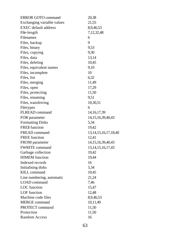| <b>ERROR GOTO command</b>   | 20,38                      |
|-----------------------------|----------------------------|
| Exchanging variable values  | 21,55                      |
| <b>EXEC</b> default address | 8,9,46,53                  |
| File-length                 | 7,12,32,48                 |
| Filenames                   | 6                          |
| Files, backup               | 9                          |
| Files, binary               | 9,53                       |
| Files, copying              | 9,30                       |
| Files, data                 | 13,14                      |
| Files, deleting             | 10,45                      |
| Files, equivalent names     | 9,10                       |
| Files, incomplete           | 10                         |
| Files, list                 | 6,32                       |
| Files, merging              | 11,49                      |
| Files, open                 | 17,29                      |
| Files, protecting           | 11,50                      |
| Files, renaming             | 9,51                       |
| Files, transferring         | 10,30,51                   |
| Filetypes                   | 6                          |
| <b>FLREAD</b> command       | 14, 16, 17, 39             |
| FOR parameter               | 14, 15, 16, 39, 40, 43     |
| <b>Formatting Disks</b>     | 5,34                       |
| FRE\$ function              | 19,42                      |
| FREAD command               | 13, 14, 15, 16, 17, 18, 40 |
| <b>FREE</b> function        | 12.41                      |
| FROM parameter              | 14, 15, 16, 39, 40, 43     |
| <b>FWRITE</b> command       | 13, 14, 15, 16, 17, 43     |
| Garbage collection          | 19,42                      |
| <b>HIMEM</b> function       | 19,44                      |
| Indexed records             | 16                         |
| <b>Initialising disks</b>   | 5,34                       |
| <b>KILL</b> command         | 10,45                      |
| Line numbering, automatic   | 21,24                      |
| <b>LOAD</b> command         | 7,46                       |
| LOC function                | 15,47                      |
| LOF function                | 12,48                      |
| Machine code files          | 8,9,46,53                  |
| <b>MERGE</b> command        | 10,11,49                   |
| PROTECT command             | 11,50                      |
| Protection                  | 11,50                      |
| <b>Random Access</b>        | 16                         |